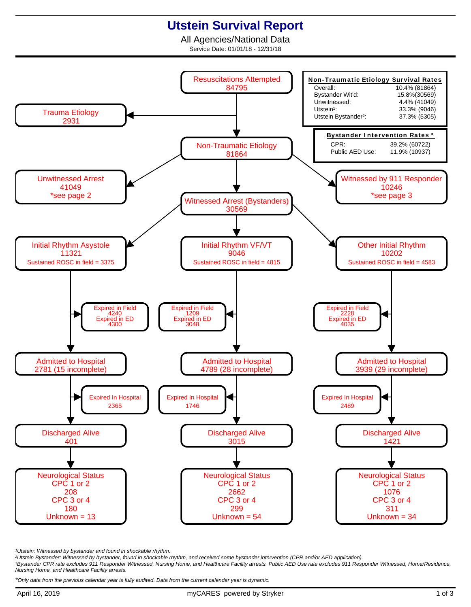## **Utstein Survival Report**

All Agencies/National Data Service Date: 01/01/18 - 12/31/18



<sup>1</sup>Utstein: Witnessed by bystander and found in shockable rhythm.

²Utstein Bystander: Witnessed by bystander, found in shockable rhythm, and received some bystander intervention (CPR and/or AED application).

³Bystander CPR rate excludes 911 Responder Witnessed, Nursing Home, and Healthcare Facility arrests. Public AED Use rate excludes 911 Responder Witnessed, Home/Residence, Nursing Home, and Healthcare Facility arrests.

\*Only data from the previous calendar year is fully audited. Data from the current calendar year is dynamic.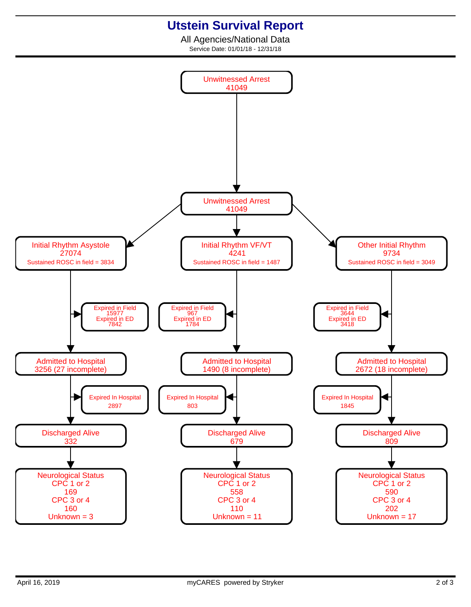## **Utstein Survival Report**

All Agencies/National Data Service Date: 01/01/18 - 12/31/18